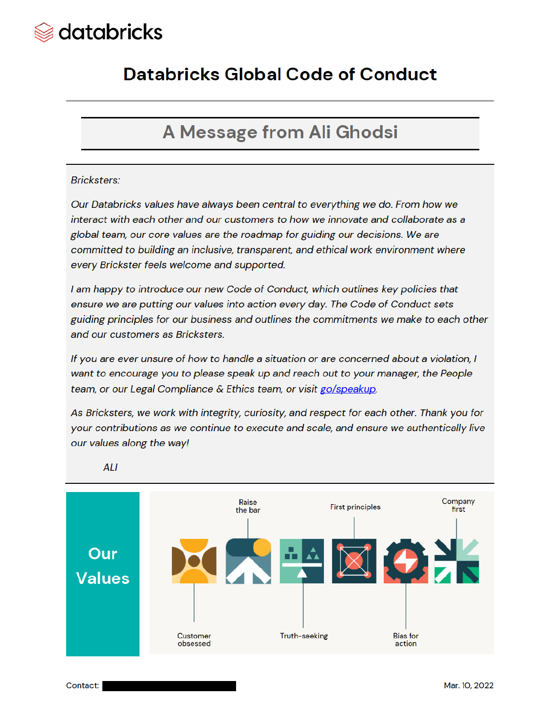

## **Databricks Global Code of Conduct**

## A Message from Ali Ghodsi

#### **Bricksters:**

Our Databricks values have always been central to everything we do. From how we interact with each other and our customers to how we innovate and collaborate as a global team, our core values are the roadmap for guiding our decisions. We are committed to building an inclusive, transparent, and ethical work environment where every Brickster feels welcome and supported.

I am happy to introduce our new Code of Conduct, which outlines key policies that ensure we are putting our values into action every day. The Code of Conduct sets guiding principles for our business and outlines the commitments we make to each other and our customers as Bricksters.

If you are ever unsure of how to handle a situation or are concerned about a violation, I want to encourage you to please speak up and reach out to your manager, the People team, or our Legal Compliance & Ethics team, or visit go/speakup.

As Bricksters, we work with integrity, curiosity, and respect for each other. Thank you for your contributions as we continue to execute and scale, and ensure we authentically live our values along the way!



**ALI**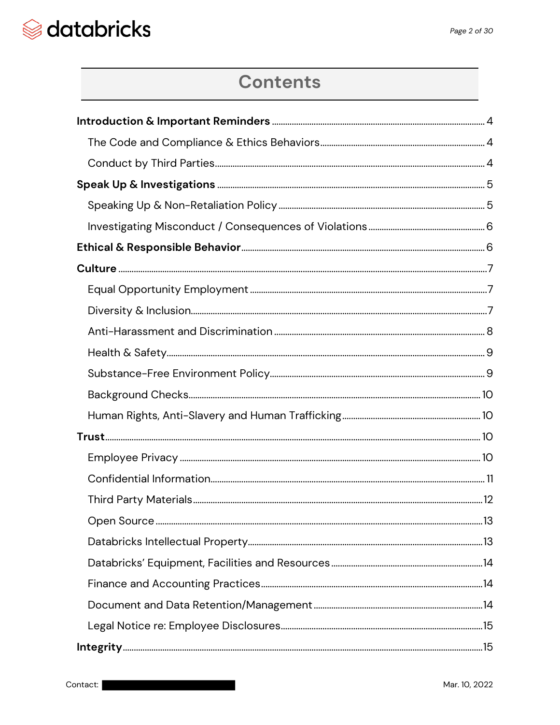## **Contents**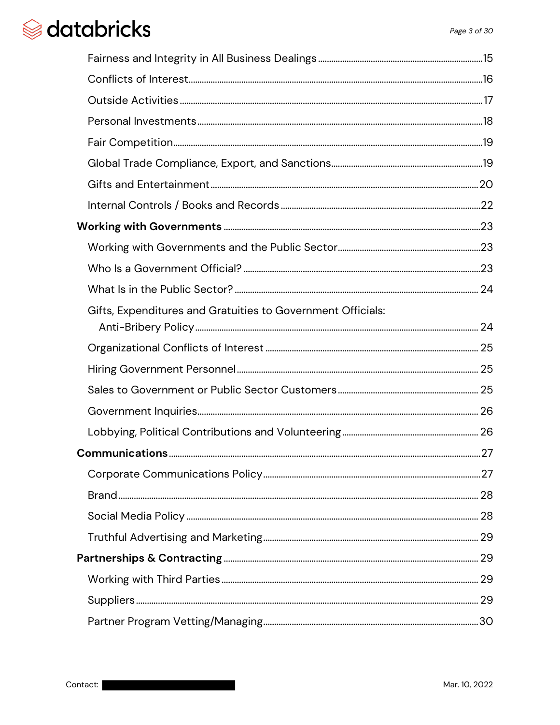| Gifts, Expenditures and Gratuities to Government Officials: |  |
|-------------------------------------------------------------|--|
|                                                             |  |
|                                                             |  |
|                                                             |  |
|                                                             |  |
|                                                             |  |
|                                                             |  |
|                                                             |  |
|                                                             |  |
|                                                             |  |
|                                                             |  |
|                                                             |  |
|                                                             |  |
|                                                             |  |
|                                                             |  |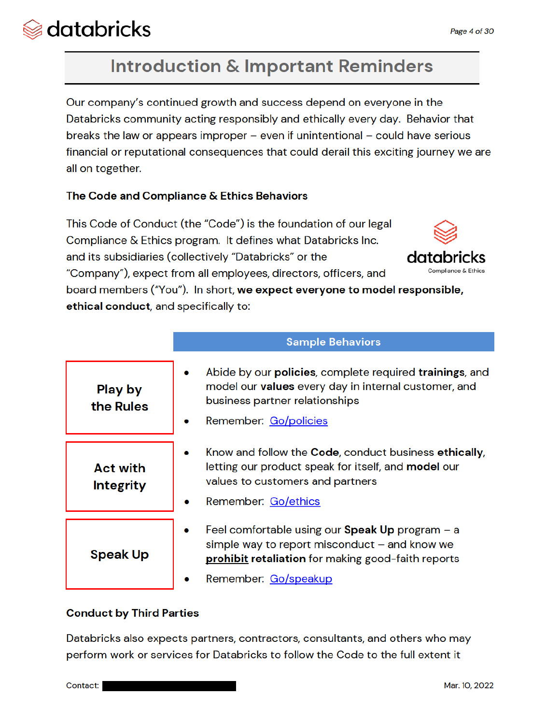Compliance & Ethics

# databricks

# **Introduction & Important Reminders**

Our company's continued growth and success depend on everyone in the Databricks community acting responsibly and ethically every day. Behavior that breaks the law or appears improper  $-$  even if unintentional  $-$  could have serious financial or reputational consequences that could derail this exciting journey we are all on together.

## The Code and Compliance & Ethics Behaviors

This Code of Conduct (the "Code") is the foundation of our legal Compliance & Ethics program. It defines what Databricks Inc. and its subsidiaries (collectively "Databricks" or the datak "Company"), expect from all employees, directors, officers, and board members ("You"). In short, we expect everyone to model responsible,

ethical conduct, and specifically to:

|                                     | <b>Sample Behaviors</b>                                                                                                                                                                         |  |  |
|-------------------------------------|-------------------------------------------------------------------------------------------------------------------------------------------------------------------------------------------------|--|--|
| <b>Play by</b><br>the Rules         | Abide by our <b>policies</b> , complete required <b>trainings</b> , and<br>۰<br>model our values every day in internal customer, and<br>business partner relationships<br>Remember: Go/policies |  |  |
| <b>Act with</b><br><b>Integrity</b> | Know and follow the Code, conduct business ethically,<br>letting our product speak for itself, and <b>model</b> our<br>values to customers and partners<br>Remember: Go/ethics                  |  |  |
| <b>Speak Up</b>                     | Feel comfortable using our <b>Speak Up</b> program $-$ a<br>simple way to report misconduct $-$ and know we<br>prohibit retaliation for making good-faith reports                               |  |  |
|                                     | Remember: Go/speakup                                                                                                                                                                            |  |  |

## **Conduct by Third Parties**

Databricks also expects partners, contractors, consultants, and others who may perform work or services for Databricks to follow the Code to the full extent it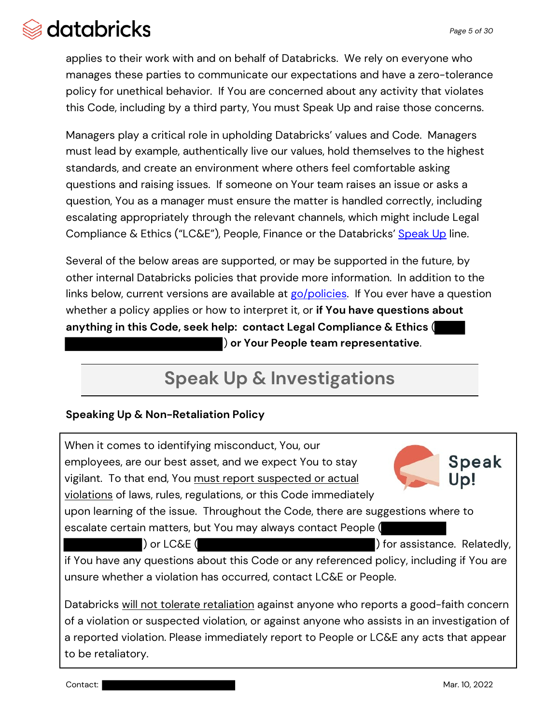applies to their work with and on behalf of Databricks. We rely on everyone who manages these parties to communicate our expectations and have a zero-tolerance policy for unethical behavior. If You are concerned about any activity that violates this Code, including by a third party, You must Speak Up and raise those concerns.

Managers play a critical role in upholding Databricks' values and Code. Managers must lead by example, authentically live our values, hold themselves to the highest standards, and create an environment where others feel comfortable asking questions and raising issues. If someone on Your team raises an issue or asks a question, You as a manager must ensure the matter is handled correctly, including escalating appropriately through the relevant channels, which might include Legal Compliance & Ethics ("LC&E"), People, Finance or the Databricks' Speak Up line.

Several of the below areas are supported, or may be supported in the future, by other internal Databricks policies that provide more information. In addition to the links below, current versions are available at go/policies. If You ever have a question whether a policy applies or how to interpret it, or **if You have questions about anything in this Code, seek help: contact Legal Compliance & Ethics** ( ) **or Your People team representative**.

# **Speak Up & Investigations**

## **Speaking Up & Non-Retaliation Policy**

When it comes to identifying misconduct, You, our employees, are our best asset, and we expect You to stay vigilant. To that end, You must report suspected or actual violations of laws, rules, regulations, or this Code immediately

Speak Up!

upon learning of the issue. Throughout the Code, there are suggestions where to escalate certain matters, but You may always contact People (

) or LC&E ( ) for assistance. Relatedly,

if You have any questions about this Code or any referenced policy, including if You are unsure whether a violation has occurred, contact LC&E or People.

Databricks will not tolerate retaliation against anyone who reports a good-faith concern of a violation or suspected violation, or against anyone who assists in an investigation of a reported violation. Please immediately report to People or LC&E any acts that appear to be retaliatory.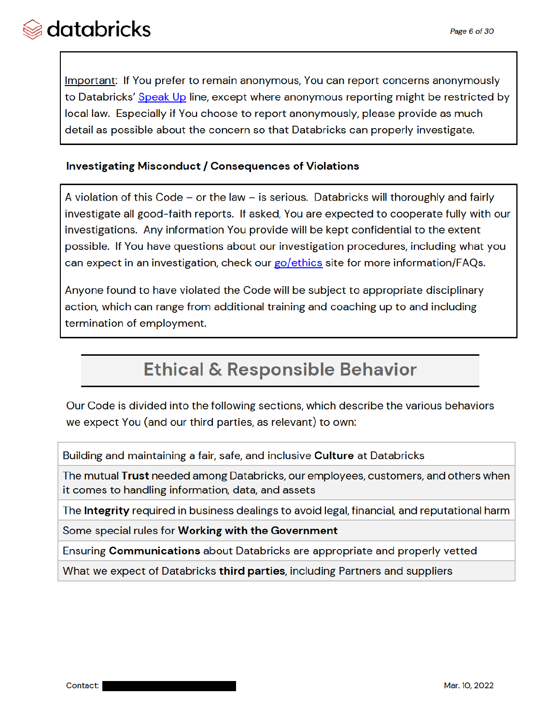Important: If You prefer to remain anonymous, You can report concerns anonymously to Databricks' Speak Up line, except where anonymous reporting might be restricted by local law. Especially if You choose to report anonymously, please provide as much detail as possible about the concern so that Databricks can properly investigate.

#### **Investigating Misconduct / Consequences of Violations**

A violation of this Code  $-$  or the law  $-$  is serious. Databricks will thoroughly and fairly investigate all good-faith reports. If asked, You are expected to cooperate fully with our investigations. Any information You provide will be kept confidential to the extent possible. If You have questions about our investigation procedures, including what you can expect in an investigation, check our go/ethics site for more information/FAQs.

Anyone found to have violated the Code will be subject to appropriate disciplinary action, which can range from additional training and coaching up to and including termination of employment.

## **Ethical & Responsible Behavior**

Our Code is divided into the following sections, which describe the various behaviors we expect You (and our third parties, as relevant) to own:

Building and maintaining a fair, safe, and inclusive **Culture** at Databricks

The mutual Trust needed among Databricks, our employees, customers, and others when it comes to handling information, data, and assets

The **Integrity** required in business dealings to avoid legal, financial, and reputational harm

Some special rules for Working with the Government

Ensuring **Communications** about Databricks are appropriate and properly vetted

What we expect of Databricks third parties, including Partners and suppliers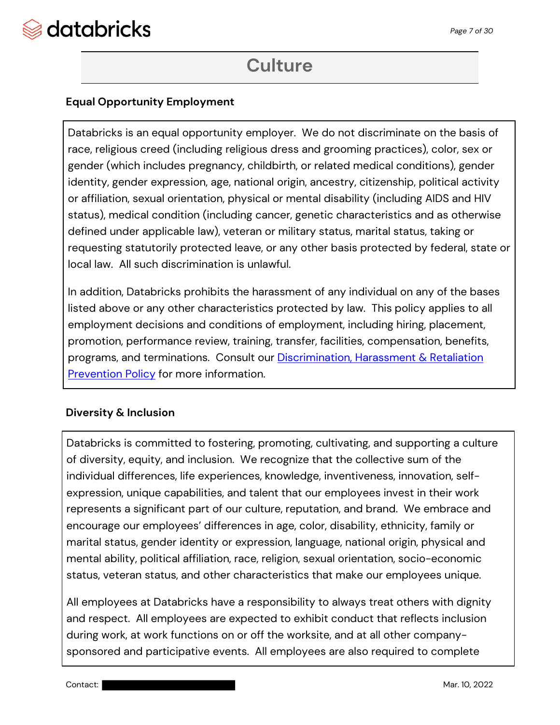

## **Culture**

### **Equal Opportunity Employment**

Databricks is an equal opportunity employer. We do not discriminate on the basis of race, religious creed (including religious dress and grooming practices), color, sex or gender (which includes pregnancy, childbirth, or related medical conditions), gender identity, gender expression, age, national origin, ancestry, citizenship, political activity or affiliation, sexual orientation, physical or mental disability (including AIDS and HIV status), medical condition (including cancer, genetic characteristics and as otherwise defined under applicable law), veteran or military status, marital status, taking or requesting statutorily protected leave, or any other basis protected by federal, state or local law. All such discrimination is unlawful.

In addition, Databricks prohibits the harassment of any individual on any of the bases listed above or any other characteristics protected by law. This policy applies to all employment decisions and conditions of employment, including hiring, placement, promotion, performance review, training, transfer, facilities, compensation, benefits, programs, and terminations. Consult our Discrimination, Harassment & Retaliation Prevention Policy for more information.

#### **Diversity & Inclusion**

Databricks is committed to fostering, promoting, cultivating, and supporting a culture of diversity, equity, and inclusion. We recognize that the collective sum of the individual differences, life experiences, knowledge, inventiveness, innovation, selfexpression, unique capabilities, and talent that our employees invest in their work represents a significant part of our culture, reputation, and brand. We embrace and encourage our employees' differences in age, color, disability, ethnicity, family or marital status, gender identity or expression, language, national origin, physical and mental ability, political affiliation, race, religion, sexual orientation, socio-economic status, veteran status, and other characteristics that make our employees unique.

All employees at Databricks have a responsibility to always treat others with dignity and respect. All employees are expected to exhibit conduct that reflects inclusion during work, at work functions on or off the worksite, and at all other companysponsored and participative events. All employees are also required to complete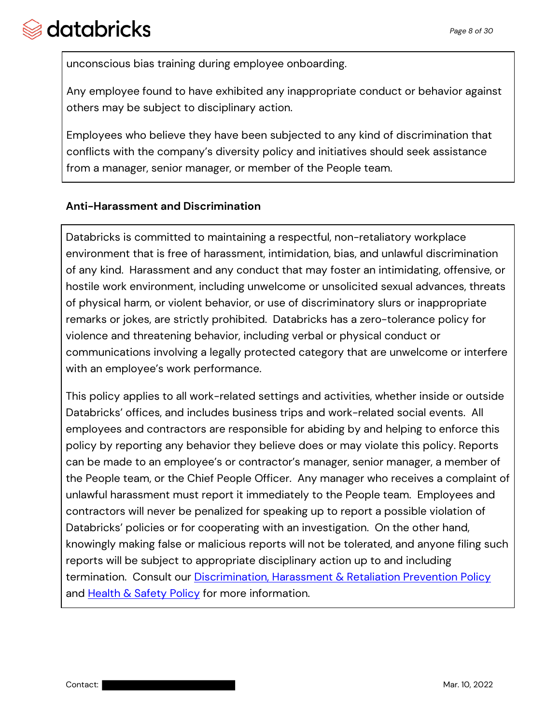unconscious bias training during employee onboarding.

Any employee found to have exhibited any inappropriate conduct or behavior against others may be subject to disciplinary action.

Employees who believe they have been subjected to any kind of discrimination that conflicts with the company's diversity policy and initiatives should seek assistance from a manager, senior manager, or member of the People team.

### **Anti-Harassment and Discrimination**

Databricks is committed to maintaining a respectful, non-retaliatory workplace environment that is free of harassment, intimidation, bias, and unlawful discrimination of any kind. Harassment and any conduct that may foster an intimidating, offensive, or hostile work environment, including unwelcome or unsolicited sexual advances, threats of physical harm, or violent behavior, or use of discriminatory slurs or inappropriate remarks or jokes, are strictly prohibited. Databricks has a zero-tolerance policy for violence and threatening behavior, including verbal or physical conduct or communications involving a legally protected category that are unwelcome or interfere with an employee's work performance.

This policy applies to all work-related settings and activities, whether inside or outside Databricks' offices, and includes business trips and work-related social events. All employees and contractors are responsible for abiding by and helping to enforce this policy by reporting any behavior they believe does or may violate this policy. Reports can be made to an employee's or contractor's manager, senior manager, a member of the People team, or the Chief People Officer. Any manager who receives a complaint of unlawful harassment must report it immediately to the People team. Employees and contractors will never be penalized for speaking up to report a possible violation of Databricks' policies or for cooperating with an investigation. On the other hand, knowingly making false or malicious reports will not be tolerated, and anyone filing such reports will be subject to appropriate disciplinary action up to and including termination. Consult our Discrimination, Harassment & Retaliation Prevention Policy and Health & Safety Policy for more information.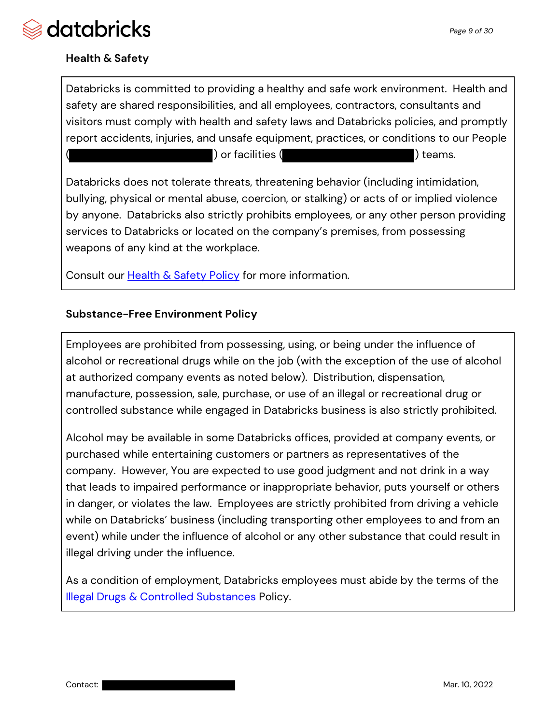

### **Health & Safety**

Databricks is committed to providing a healthy and safe work environment. Health and safety are shared responsibilities, and all employees, contractors, consultants and visitors must comply with health and safety laws and Databricks policies, and promptly report accidents, injuries, and unsafe equipment, practices, or conditions to our People ) or facilities ( ) teams.

Databricks does not tolerate threats, threatening behavior (including intimidation, bullying, physical or mental abuse, coercion, or stalking) or acts of or implied violence by anyone. Databricks also strictly prohibits employees, or any other person providing services to Databricks or located on the company's premises, from possessing weapons of any kind at the workplace.

Consult our Health & Safety Policy for more information.

#### **Substance-Free Environment Policy**

Employees are prohibited from possessing, using, or being under the influence of alcohol or recreational drugs while on the job (with the exception of the use of alcohol at authorized company events as noted below). Distribution, dispensation, manufacture, possession, sale, purchase, or use of an illegal or recreational drug or controlled substance while engaged in Databricks business is also strictly prohibited.

Alcohol may be available in some Databricks offices, provided at company events, or purchased while entertaining customers or partners as representatives of the company. However, You are expected to use good judgment and not drink in a way that leads to impaired performance or inappropriate behavior, puts yourself or others in danger, or violates the law. Employees are strictly prohibited from driving a vehicle while on Databricks' business (including transporting other employees to and from an event) while under the influence of alcohol or any other substance that could result in illegal driving under the influence.

As a condition of employment, Databricks employees must abide by the terms of the **Illegal Drugs & Controlled Substances Policy.**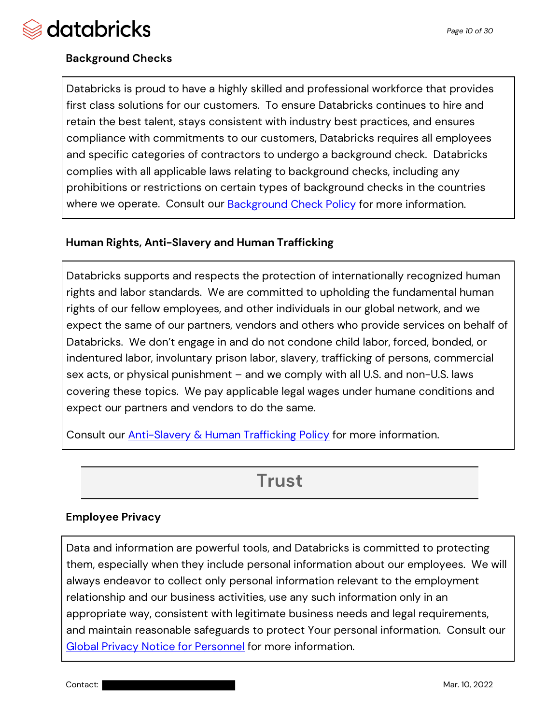

### **Background Checks**

Databricks is proud to have a highly skilled and professional workforce that provides first class solutions for our customers. To ensure Databricks continues to hire and retain the best talent, stays consistent with industry best practices, and ensures compliance with commitments to our customers, Databricks requires all employees and specific categories of contractors to undergo a background check. Databricks complies with all applicable laws relating to background checks, including any prohibitions or restrictions on certain types of background checks in the countries where we operate. Consult our **Background Check Policy** for more information.

#### **Human Rights, Anti-Slavery and Human Trafficking**

Databricks supports and respects the protection of internationally recognized human rights and labor standards. We are committed to upholding the fundamental human rights of our fellow employees, and other individuals in our global network, and we expect the same of our partners, vendors and others who provide services on behalf of Databricks. We don't engage in and do not condone child labor, forced, bonded, or indentured labor, involuntary prison labor, slavery, trafficking of persons, commercial sex acts, or physical punishment – and we comply with all U.S. and non-U.S. laws covering these topics. We pay applicable legal wages under humane conditions and expect our partners and vendors to do the same.

Consult our **Anti-Slavery & Human Trafficking Policy** for more information.

## **Trust**

#### **Employee Privacy**

Data and information are powerful tools, and Databricks is committed to protecting them, especially when they include personal information about our employees. We will always endeavor to collect only personal information relevant to the employment relationship and our business activities, use any such information only in an appropriate way, consistent with legitimate business needs and legal requirements, and maintain reasonable safeguards to protect Your personal information. Consult our Global Privacy Notice for Personnel for more information.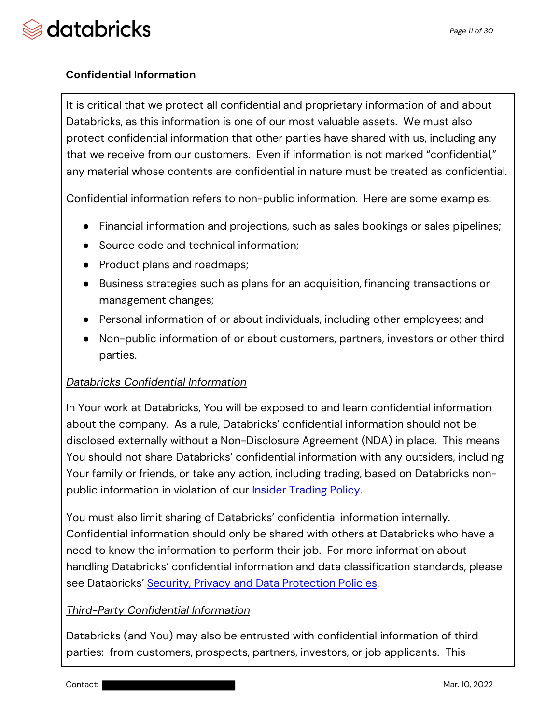### **Confidential Information**

It is critical that we protect all confidential and proprietary information of and about Databricks, as this information is one of our most valuable assets. We must also protect confidential information that other parties have shared with us, including any that we receive from our customers. Even if information is not marked "confidential," any material whose contents are confidential in nature must be treated as confidential.

Confidential information refers to non-public information. Here are some examples:

- Financial information and projections, such as sales bookings or sales pipelines;
- Source code and technical information;
- Product plans and roadmaps;
- Business strategies such as plans for an acquisition, financing transactions or management changes;
- Personal information of or about individuals, including other employees; and
- Non-public information of or about customers, partners, investors or other third parties.

#### *Databricks Confidential Information*

In Your work at Databricks, You will be exposed to and learn confidential information about the company. As a rule, Databricks' confidential information should not be disclosed externally without a Non-Disclosure Agreement (NDA) in place. This means You should not share Databricks' confidential information with any outsiders, including Your family or friends, or take any action, including trading, based on Databricks nonpublic information in violation of our **Insider Trading Policy**.

You must also limit sharing of Databricks' confidential information internally. Confidential information should only be shared with others at Databricks who have a need to know the information to perform their job. For more information about handling Databricks' confidential information and data classification standards, please see Databricks' Security, Privacy and Data Protection Policies.

### *Third-Party Confidential Information*

Databricks (and You) may also be entrusted with confidential information of third parties: from customers, prospects, partners, investors, or job applicants. This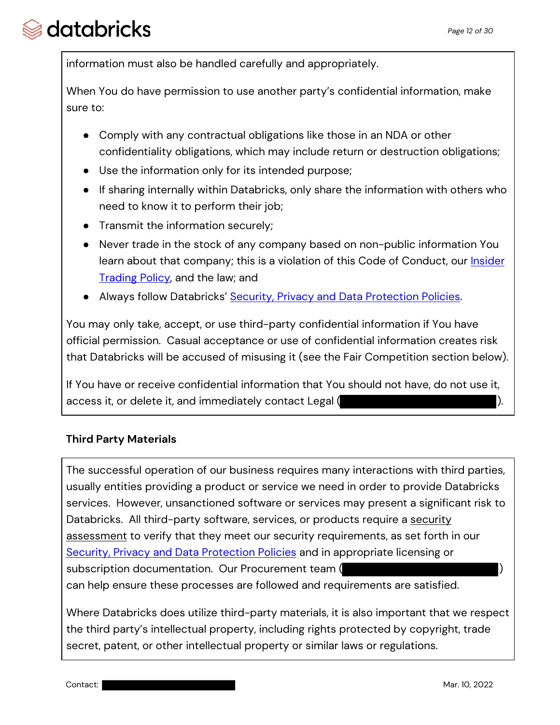information must also be handled carefully and appropriately.

When You do have permission to use another party's confidential information, make sure to:

- Comply with any contractual obligations like those in an NDA or other confidentiality obligations, which may include return or destruction obligations;
- Use the information only for its intended purpose;
- If sharing internally within Databricks, only share the information with others who need to know it to perform their job;
- Transmit the information securely;
- Never trade in the stock of any company based on non-public information You learn about that company; this is a violation of this Code of Conduct, our *Insider* Trading Policy, and the law; and
- Always follow Databricks' Security, Privacy and Data Protection Policies.

You may only take, accept, or use third-party confidential information if You have official permission. Casual acceptance or use of confidential information creates risk that Databricks will be accused of misusing it (see the Fair Competition section below).

If You have or receive confidential information that You should not have, do not use it, access it, or delete it, and immediately contact Legal (

#### **Third Party Materials**

The successful operation of our business requires many interactions with third parties, usually entities providing a product or service we need in order to provide Databricks services. However, unsanctioned software or services may present a significant risk to Databricks. All third-party software, services, or products require a security assessment to verify that they meet our security requirements, as set forth in our Security, Privacy and Data Protection Policies and in appropriate licensing or subscription documentation. Our Procurement team ( can help ensure these processes are followed and requirements are satisfied.

Where Databricks does utilize third-party materials, it is also important that we respect the third party's intellectual property, including rights protected by copyright, trade secret, patent, or other intellectual property or similar laws or regulations.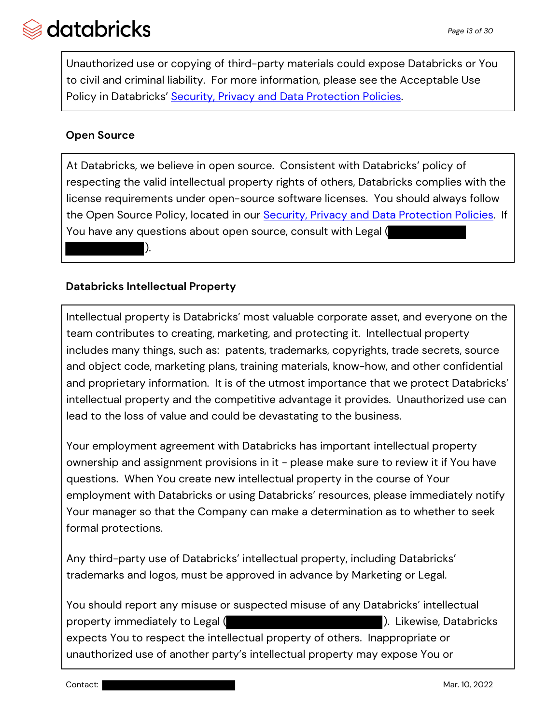Unauthorized use or copying of third-party materials could expose Databricks or You to civil and criminal liability. For more information, please see the Acceptable Use Policy in Databricks' Security, Privacy and Data Protection Policies.

### **Open Source**

At Databricks, we believe in open source. Consistent with Databricks' policy of respecting the valid intellectual property rights of others, Databricks complies with the license requirements under open-source software licenses. You should always follow the Open Source Policy, located in our Security, Privacy and Data Protection Policies. If You have any questions about open source, consult with Legal ( ).

#### **Databricks Intellectual Property**

Intellectual property is Databricks' most valuable corporate asset, and everyone on the team contributes to creating, marketing, and protecting it. Intellectual property includes many things, such as: patents, trademarks, copyrights, trade secrets, source and object code, marketing plans, training materials, know-how, and other confidential and proprietary information. It is of the utmost importance that we protect Databricks' intellectual property and the competitive advantage it provides. Unauthorized use can lead to the loss of value and could be devastating to the business.

Your employment agreement with Databricks has important intellectual property ownership and assignment provisions in it - please make sure to review it if You have questions. When You create new intellectual property in the course of Your employment with Databricks or using Databricks' resources, please immediately notify Your manager so that the Company can make a determination as to whether to seek formal protections.

Any third-party use of Databricks' intellectual property, including Databricks' trademarks and logos, must be approved in advance by Marketing or Legal.

You should report any misuse or suspected misuse of any Databricks' intellectual property immediately to Legal ( ). Likewise, Databricks expects You to respect the intellectual property of others. Inappropriate or unauthorized use of another party's intellectual property may expose You or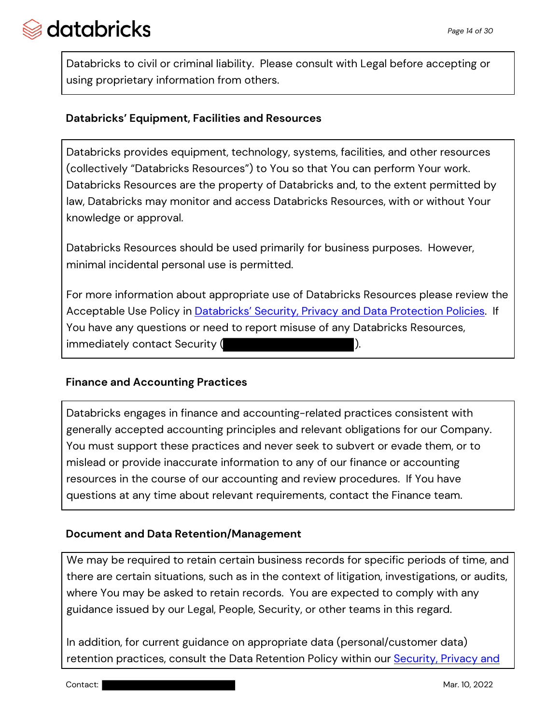Databricks to civil or criminal liability. Please consult with Legal before accepting or using proprietary information from others.

#### **Databricks' Equipment, Facilities and Resources**

Databricks provides equipment, technology, systems, facilities, and other resources (collectively "Databricks Resources") to You so that You can perform Your work. Databricks Resources are the property of Databricks and, to the extent permitted by law, Databricks may monitor and access Databricks Resources, with or without Your knowledge or approval.

Databricks Resources should be used primarily for business purposes. However, minimal incidental personal use is permitted.

For more information about appropriate use of Databricks Resources please review the Acceptable Use Policy in **Databricks' Security, Privacy and Data Protection Policies**. If You have any questions or need to report misuse of any Databricks Resources, immediately contact Security ( ).

#### **Finance and Accounting Practices**

Databricks engages in finance and accounting-related practices consistent with generally accepted accounting principles and relevant obligations for our Company. You must support these practices and never seek to subvert or evade them, or to mislead or provide inaccurate information to any of our finance or accounting resources in the course of our accounting and review procedures. If You have questions at any time about relevant requirements, contact the Finance team.

### **Document and Data Retention/Management**

We may be required to retain certain business records for specific periods of time, and there are certain situations, such as in the context of litigation, investigations, or audits, where You may be asked to retain records. You are expected to comply with any guidance issued by our Legal, People, Security, or other teams in this regard.

In addition, for current guidance on appropriate data (personal/customer data) retention practices, consult the Data Retention Policy within our **Security, Privacy and**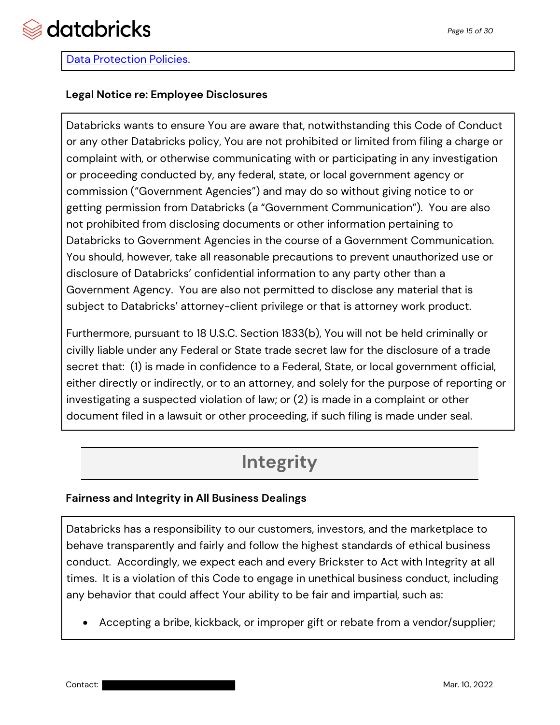

#### Data Protection Policies.

#### **Legal Notice re: Employee Disclosures**

Databricks wants to ensure You are aware that, notwithstanding this Code of Conduct or any other Databricks policy, You are not prohibited or limited from filing a charge or complaint with, or otherwise communicating with or participating in any investigation or proceeding conducted by, any federal, state, or local government agency or commission ("Government Agencies") and may do so without giving notice to or getting permission from Databricks (a "Government Communication"). You are also not prohibited from disclosing documents or other information pertaining to Databricks to Government Agencies in the course of a Government Communication. You should, however, take all reasonable precautions to prevent unauthorized use or disclosure of Databricks' confidential information to any party other than a Government Agency. You are also not permitted to disclose any material that is subject to Databricks' attorney-client privilege or that is attorney work product.

Furthermore, pursuant to 18 U.S.C. Section 1833(b), You will not be held criminally or civilly liable under any Federal or State trade secret law for the disclosure of a trade secret that: (1) is made in confidence to a Federal, State, or local government official, either directly or indirectly, or to an attorney, and solely for the purpose of reporting or investigating a suspected violation of law; or (2) is made in a complaint or other document filed in a lawsuit or other proceeding, if such filing is made under seal.

## **Integrity**

#### **Fairness and Integrity in All Business Dealings**

Databricks has a responsibility to our customers, investors, and the marketplace to behave transparently and fairly and follow the highest standards of ethical business conduct. Accordingly, we expect each and every Brickster to Act with Integrity at all times. It is a violation of this Code to engage in unethical business conduct, including any behavior that could affect Your ability to be fair and impartial, such as:

• Accepting a bribe, kickback, or improper gift or rebate from a vendor/supplier;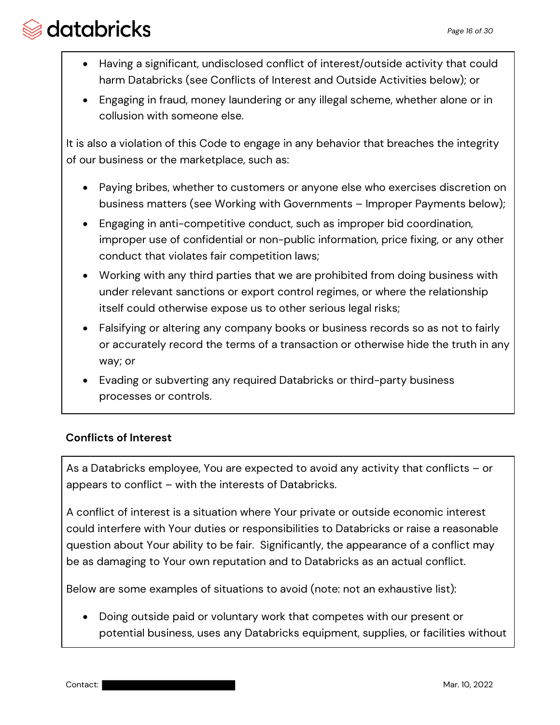- Having a significant, undisclosed conflict of interest/outside activity that could harm Databricks (see Conflicts of Interest and Outside Activities below); or
- Engaging in fraud, money laundering or any illegal scheme, whether alone or in collusion with someone else.

It is also a violation of this Code to engage in any behavior that breaches the integrity of our business or the marketplace, such as:

- Paying bribes, whether to customers or anyone else who exercises discretion on business matters (see Working with Governments – Improper Payments below);
- Engaging in anti-competitive conduct, such as improper bid coordination, improper use of confidential or non-public information, price fixing, or any other conduct that violates fair competition laws;
- Working with any third parties that we are prohibited from doing business with under relevant sanctions or export control regimes, or where the relationship itself could otherwise expose us to other serious legal risks;
- Falsifying or altering any company books or business records so as not to fairly or accurately record the terms of a transaction or otherwise hide the truth in any way; or
- Evading or subverting any required Databricks or third-party business processes or controls.

### **Conflicts of Interest**

As a Databricks employee, You are expected to avoid any activity that conflicts – or appears to conflict – with the interests of Databricks.

A conflict of interest is a situation where Your private or outside economic interest could interfere with Your duties or responsibilities to Databricks or raise a reasonable question about Your ability to be fair. Significantly, the appearance of a conflict may be as damaging to Your own reputation and to Databricks as an actual conflict.

Below are some examples of situations to avoid (note: not an exhaustive list):

• Doing outside paid or voluntary work that competes with our present or potential business, uses any Databricks equipment, supplies, or facilities without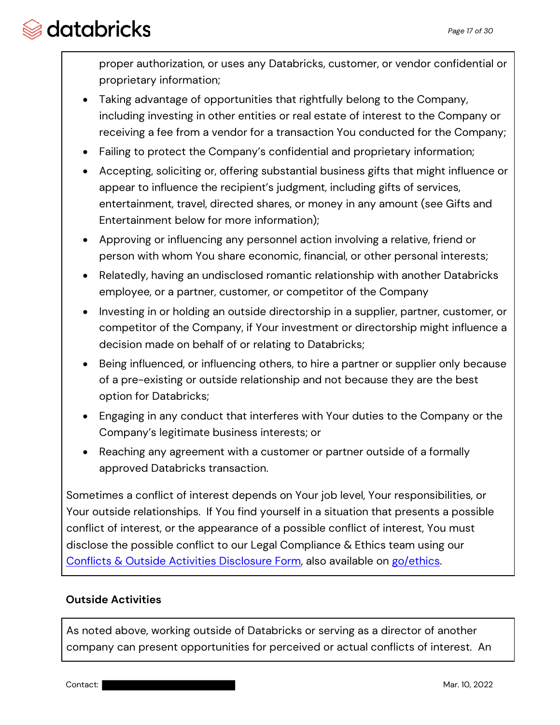proper authorization, or uses any Databricks, customer, or vendor confidential or proprietary information;

- Taking advantage of opportunities that rightfully belong to the Company, including investing in other entities or real estate of interest to the Company or receiving a fee from a vendor for a transaction You conducted for the Company;
- Failing to protect the Company's confidential and proprietary information;
- Accepting, soliciting or, offering substantial business gifts that might influence or appear to influence the recipient's judgment, including gifts of services, entertainment, travel, directed shares, or money in any amount (see Gifts and Entertainment below for more information);
- Approving or influencing any personnel action involving a relative, friend or person with whom You share economic, financial, or other personal interests;
- Relatedly, having an undisclosed romantic relationship with another Databricks employee, or a partner, customer, or competitor of the Company
- Investing in or holding an outside directorship in a supplier, partner, customer, or competitor of the Company, if Your investment or directorship might influence a decision made on behalf of or relating to Databricks;
- Being influenced, or influencing others, to hire a partner or supplier only because of a pre-existing or outside relationship and not because they are the best option for Databricks;
- Engaging in any conduct that interferes with Your duties to the Company or the Company's legitimate business interests; or
- Reaching any agreement with a customer or partner outside of a formally approved Databricks transaction.

Sometimes a conflict of interest depends on Your job level, Your responsibilities, or Your outside relationships. If You find yourself in a situation that presents a possible conflict of interest, or the appearance of a possible conflict of interest, You must disclose the possible conflict to our Legal Compliance & Ethics team using our Conflicts & Outside Activities Disclosure Form, also available on go/ethics.

## **Outside Activities**

As noted above, working outside of Databricks or serving as a director of another company can present opportunities for perceived or actual conflicts of interest. An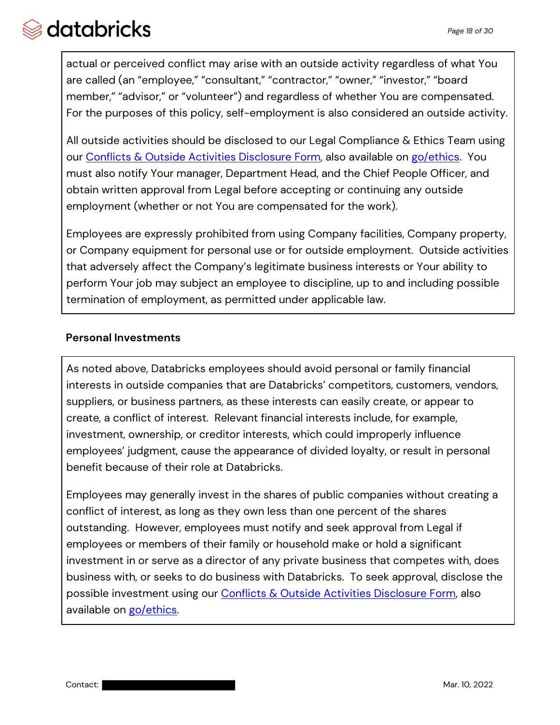actual or perceived conflict may arise with an outside activity regardless of what You are called (an "employee," "consultant," "contractor," "owner," "investor," "board member," "advisor," or "volunteer") and regardless of whether You are compensated. For the purposes of this policy, self-employment is also considered an outside activity.

All outside activities should be disclosed to our Legal Compliance & Ethics Team using our Conflicts & Outside Activities Disclosure Form, also available on go/ethics. You must also notify Your manager, Department Head, and the Chief People Officer, and obtain written approval from Legal before accepting or continuing any outside employment (whether or not You are compensated for the work).

Employees are expressly prohibited from using Company facilities, Company property, or Company equipment for personal use or for outside employment. Outside activities that adversely affect the Company's legitimate business interests or Your ability to perform Your job may subject an employee to discipline, up to and including possible termination of employment, as permitted under applicable law.

### **Personal Investments**

As noted above, Databricks employees should avoid personal or family financial interests in outside companies that are Databricks' competitors, customers, vendors, suppliers, or business partners, as these interests can easily create, or appear to create, a conflict of interest. Relevant financial interests include, for example, investment, ownership, or creditor interests, which could improperly influence employees' judgment, cause the appearance of divided loyalty, or result in personal benefit because of their role at Databricks.

Employees may generally invest in the shares of public companies without creating a conflict of interest, as long as they own less than one percent of the shares outstanding. However, employees must notify and seek approval from Legal if employees or members of their family or household make or hold a significant investment in or serve as a director of any private business that competes with, does business with, or seeks to do business with Databricks. To seek approval, disclose the possible investment using our Conflicts & Outside Activities Disclosure Form, also available on go/ethics.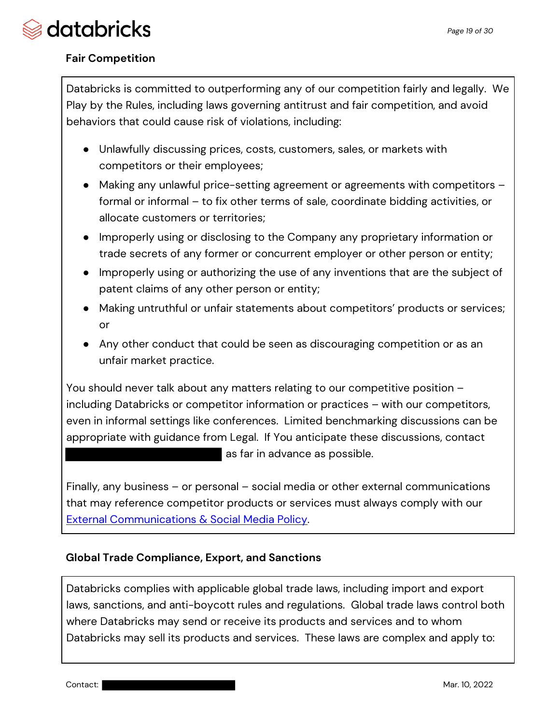

#### **Fair Competition**

Databricks is committed to outperforming any of our competition fairly and legally. We Play by the Rules, including laws governing antitrust and fair competition, and avoid behaviors that could cause risk of violations, including:

- Unlawfully discussing prices, costs, customers, sales, or markets with competitors or their employees;
- Making any unlawful price-setting agreement or agreements with competitors formal or informal – to fix other terms of sale, coordinate bidding activities, or allocate customers or territories;
- Improperly using or disclosing to the Company any proprietary information or trade secrets of any former or concurrent employer or other person or entity;
- Improperly using or authorizing the use of any inventions that are the subject of patent claims of any other person or entity;
- Making untruthful or unfair statements about competitors' products or services; or
- Any other conduct that could be seen as discouraging competition or as an unfair market practice.

You should never talk about any matters relating to our competitive position – including Databricks or competitor information or practices – with our competitors, even in informal settings like conferences. Limited benchmarking discussions can be appropriate with guidance from Legal. If You anticipate these discussions, contact as far in advance as possible.

Finally, any business – or personal – social media or other external communications that may reference competitor products or services must always comply with our External Communications & Social Media Policy.

#### **Global Trade Compliance, Export, and Sanctions**

Databricks complies with applicable global trade laws, including import and export laws, sanctions, and anti-boycott rules and regulations. Global trade laws control both where Databricks may send or receive its products and services and to whom Databricks may sell its products and services. These laws are complex and apply to: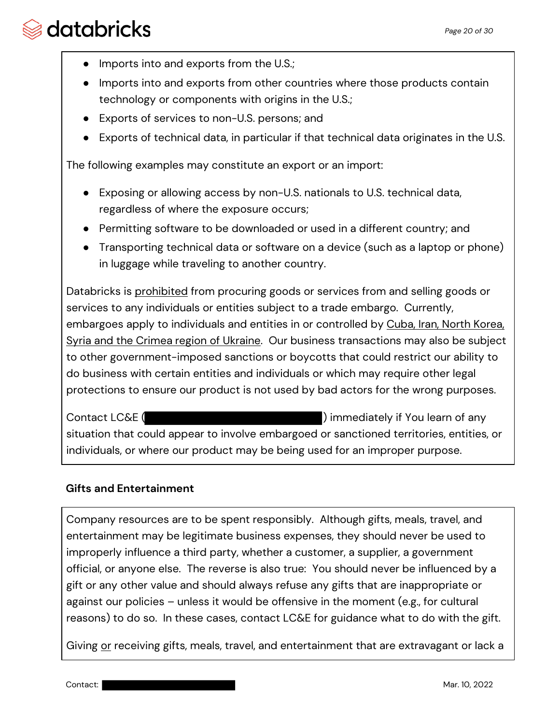- Imports into and exports from the U.S.;
- Imports into and exports from other countries where those products contain technology or components with origins in the U.S.;
- Exports of services to non-U.S. persons; and
- Exports of technical data, in particular if that technical data originates in the U.S.

The following examples may constitute an export or an import:

- Exposing or allowing access by non-U.S. nationals to U.S. technical data, regardless of where the exposure occurs;
- Permitting software to be downloaded or used in a different country; and
- Transporting technical data or software on a device (such as a laptop or phone) in luggage while traveling to another country.

Databricks is prohibited from procuring goods or services from and selling goods or services to any individuals or entities subject to a trade embargo. Currently, embargoes apply to individuals and entities in or controlled by Cuba, Iran, North Korea, Syria and the Crimea region of Ukraine. Our business transactions may also be subject to other government-imposed sanctions or boycotts that could restrict our ability to do business with certain entities and individuals or which may require other legal protections to ensure our product is not used by bad actors for the wrong purposes.

Contact LC&E ( ) immediately if You learn of any situation that could appear to involve embargoed or sanctioned territories, entities, or individuals, or where our product may be being used for an improper purpose.

#### **Gifts and Entertainment**

Company resources are to be spent responsibly. Although gifts, meals, travel, and entertainment may be legitimate business expenses, they should never be used to improperly influence a third party, whether a customer, a supplier, a government official, or anyone else. The reverse is also true: You should never be influenced by a gift or any other value and should always refuse any gifts that are inappropriate or against our policies – unless it would be offensive in the moment (e.g., for cultural reasons) to do so. In these cases, contact LC&E for guidance what to do with the gift.

Giving or receiving gifts, meals, travel, and entertainment that are extravagant or lack a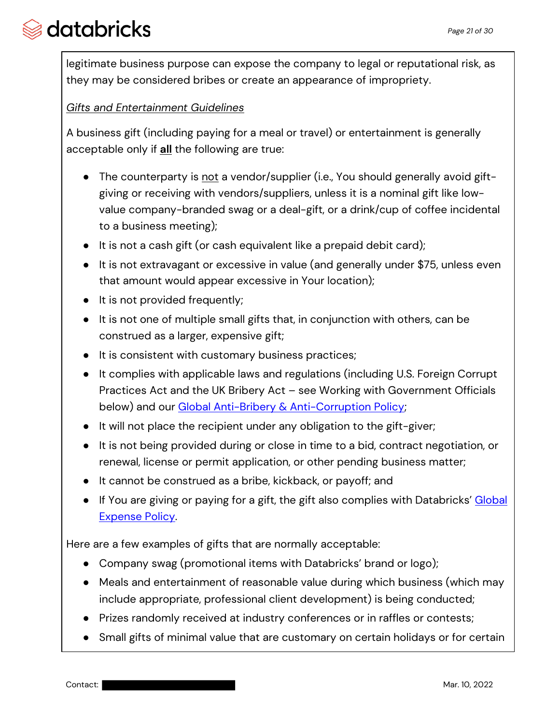legitimate business purpose can expose the company to legal or reputational risk, as they may be considered bribes or create an appearance of impropriety.

### *Gifts and Entertainment Guidelines*

A business gift (including paying for a meal or travel) or entertainment is generally acceptable only if **all** the following are true:

- The counterparty is not a vendor/supplier (i.e., You should generally avoid giftgiving or receiving with vendors/suppliers, unless it is a nominal gift like lowvalue company-branded swag or a deal-gift, or a drink/cup of coffee incidental to a business meeting);
- It is not a cash gift (or cash equivalent like a prepaid debit card);
- It is not extravagant or excessive in value (and generally under \$75, unless even that amount would appear excessive in Your location);
- It is not provided frequently;
- It is not one of multiple small gifts that, in conjunction with others, can be construed as a larger, expensive gift;
- It is consistent with customary business practices;
- It complies with applicable laws and regulations (including U.S. Foreign Corrupt Practices Act and the UK Bribery Act – see Working with Government Officials below) and our Global Anti-Bribery & Anti-Corruption Policy;
- It will not place the recipient under any obligation to the gift-giver;
- It is not being provided during or close in time to a bid, contract negotiation, or renewal, license or permit application, or other pending business matter;
- It cannot be construed as a bribe, kickback, or payoff; and
- If You are giving or paying for a gift, the gift also complies with Databricks' Global Expense Policy.

Here are a few examples of gifts that are normally acceptable:

- Company swag (promotional items with Databricks' brand or logo);
- Meals and entertainment of reasonable value during which business (which may include appropriate, professional client development) is being conducted;
- Prizes randomly received at industry conferences or in raffles or contests;
- Small gifts of minimal value that are customary on certain holidays or for certain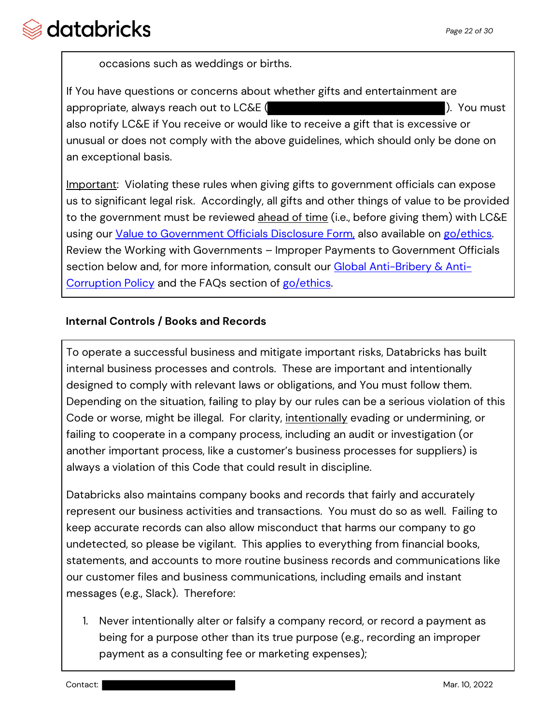occasions such as weddings or births.

If You have questions or concerns about whether gifts and entertainment are appropriate, always reach out to LC&E (  $\blacksquare$  ). You must also notify LC&E if You receive or would like to receive a gift that is excessive or unusual or does not comply with the above guidelines, which should only be done on an exceptional basis.

Important: Violating these rules when giving gifts to government officials can expose us to significant legal risk. Accordingly, all gifts and other things of value to be provided to the government must be reviewed ahead of time (i.e., before giving them) with LC&E using our Value to Government Officials Disclosure Form, also available on go/ethics. Review the Working with Governments – Improper Payments to Government Officials section below and, for more information, consult our Global Anti-Bribery & Anti-Corruption Policy and the FAQs section of go/ethics.

### **Internal Controls / Books and Records**

To operate a successful business and mitigate important risks, Databricks has built internal business processes and controls. These are important and intentionally designed to comply with relevant laws or obligations, and You must follow them. Depending on the situation, failing to play by our rules can be a serious violation of this Code or worse, might be illegal. For clarity, intentionally evading or undermining, or failing to cooperate in a company process, including an audit or investigation (or another important process, like a customer's business processes for suppliers) is always a violation of this Code that could result in discipline.

Databricks also maintains company books and records that fairly and accurately represent our business activities and transactions. You must do so as well. Failing to keep accurate records can also allow misconduct that harms our company to go undetected, so please be vigilant. This applies to everything from financial books, statements, and accounts to more routine business records and communications like our customer files and business communications, including emails and instant messages (e.g., Slack). Therefore:

1. Never intentionally alter or falsify a company record, or record a payment as being for a purpose other than its true purpose (e.g., recording an improper payment as a consulting fee or marketing expenses);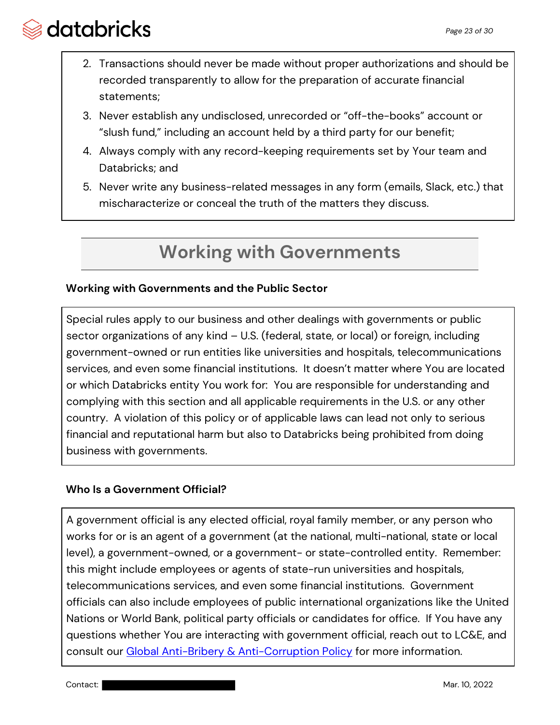- 2. Transactions should never be made without proper authorizations and should be recorded transparently to allow for the preparation of accurate financial statements;
- 3. Never establish any undisclosed, unrecorded or "off-the-books" account or "slush fund," including an account held by a third party for our benefit;
- 4. Always comply with any record-keeping requirements set by Your team and Databricks; and
- 5. Never write any business-related messages in any form (emails, Slack, etc.) that mischaracterize or conceal the truth of the matters they discuss.

# **Working with Governments**

### **Working with Governments and the Public Sector**

Special rules apply to our business and other dealings with governments or public sector organizations of any kind – U.S. (federal, state, or local) or foreign, including government-owned or run entities like universities and hospitals, telecommunications services, and even some financial institutions. It doesn't matter where You are located or which Databricks entity You work for: You are responsible for understanding and complying with this section and all applicable requirements in the U.S. or any other country. A violation of this policy or of applicable laws can lead not only to serious financial and reputational harm but also to Databricks being prohibited from doing business with governments.

### **Who Is a Government Official?**

A government official is any elected official, royal family member, or any person who works for or is an agent of a government (at the national, multi-national, state or local level), a government-owned, or a government- or state-controlled entity. Remember: this might include employees or agents of state-run universities and hospitals, telecommunications services, and even some financial institutions. Government officials can also include employees of public international organizations like the United Nations or World Bank, political party officials or candidates for office. If You have any questions whether You are interacting with government official, reach out to LC&E, and consult our Global Anti-Bribery & Anti-Corruption Policy for more information.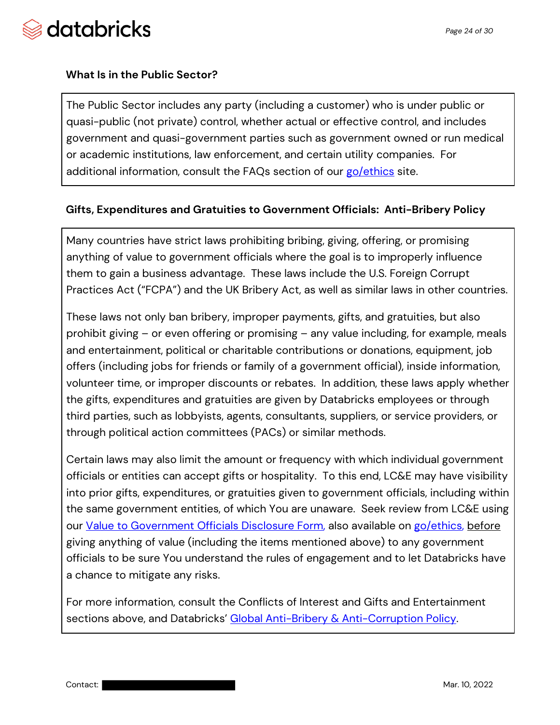

#### **What Is in the Public Sector?**

The Public Sector includes any party (including a customer) who is under public or quasi-public (not private) control, whether actual or effective control, and includes government and quasi-government parties such as government owned or run medical or academic institutions, law enforcement, and certain utility companies. For additional information, consult the FAQs section of our go/ethics site.

#### **Gifts, Expenditures and Gratuities to Government Officials: Anti-Bribery Policy**

Many countries have strict laws prohibiting bribing, giving, offering, or promising anything of value to government officials where the goal is to improperly influence them to gain a business advantage. These laws include the U.S. Foreign Corrupt Practices Act ("FCPA") and the UK Bribery Act, as well as similar laws in other countries.

These laws not only ban bribery, improper payments, gifts, and gratuities, but also prohibit giving – or even offering or promising – any value including, for example, meals and entertainment, political or charitable contributions or donations, equipment, job offers (including jobs for friends or family of a government official), inside information, volunteer time, or improper discounts or rebates. In addition, these laws apply whether the gifts, expenditures and gratuities are given by Databricks employees or through third parties, such as lobbyists, agents, consultants, suppliers, or service providers, or through political action committees (PACs) or similar methods.

Certain laws may also limit the amount or frequency with which individual government officials or entities can accept gifts or hospitality. To this end, LC&E may have visibility into prior gifts, expenditures, or gratuities given to government officials, including within the same government entities, of which You are unaware. Seek review from LC&E using our Value to Government Officials Disclosure Form, also available on go/ethics, before giving anything of value (including the items mentioned above) to any government officials to be sure You understand the rules of engagement and to let Databricks have a chance to mitigate any risks.

For more information, consult the Conflicts of Interest and Gifts and Entertainment sections above, and Databricks' Global Anti-Bribery & Anti-Corruption Policy.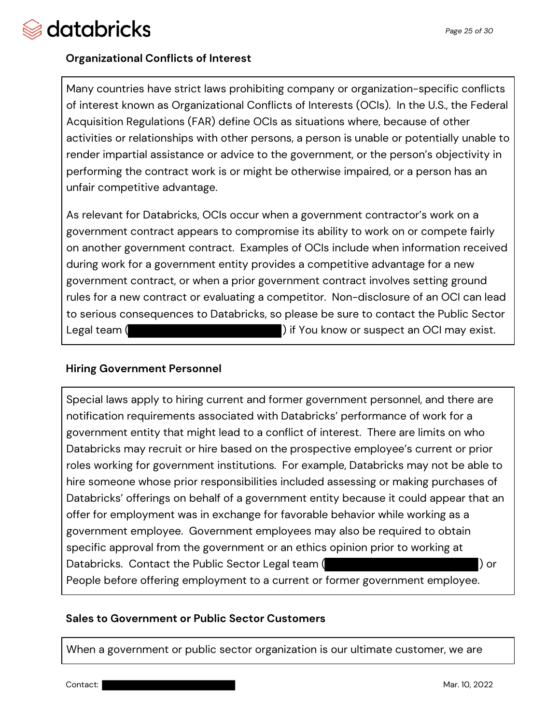

### **Organizational Conflicts of Interest**

Many countries have strict laws prohibiting company or organization-specific conflicts of interest known as Organizational Conflicts of Interests (OCIs). In the U.S., the Federal Acquisition Regulations (FAR) define OCIs as situations where, because of other activities or relationships with other persons, a person is unable or potentially unable to render impartial assistance or advice to the government, or the person's objectivity in performing the contract work is or might be otherwise impaired, or a person has an unfair competitive advantage.

As relevant for Databricks, OCIs occur when a government contractor's work on a government contract appears to compromise its ability to work on or compete fairly on another government contract. Examples of OCIs include when information received during work for a government entity provides a competitive advantage for a new government contract, or when a prior government contract involves setting ground rules for a new contract or evaluating a competitor. Non-disclosure of an OCI can lead to serious consequences to Databricks, so please be sure to contact the Public Sector Legal team ( ) if You know or suspect an OCI may exist.

#### **Hiring Government Personnel**

Special laws apply to hiring current and former government personnel, and there are notification requirements associated with Databricks' performance of work for a government entity that might lead to a conflict of interest. There are limits on who Databricks may recruit or hire based on the prospective employee's current or prior roles working for government institutions. For example, Databricks may not be able to hire someone whose prior responsibilities included assessing or making purchases of Databricks' offerings on behalf of a government entity because it could appear that an offer for employment was in exchange for favorable behavior while working as a government employee. Government employees may also be required to obtain specific approval from the government or an ethics opinion prior to working at Databricks. Contact the Public Sector Legal team ( ) or People before offering employment to a current or former government employee.

#### **Sales to Government or Public Sector Customers**

When a government or public sector organization is our ultimate customer, we are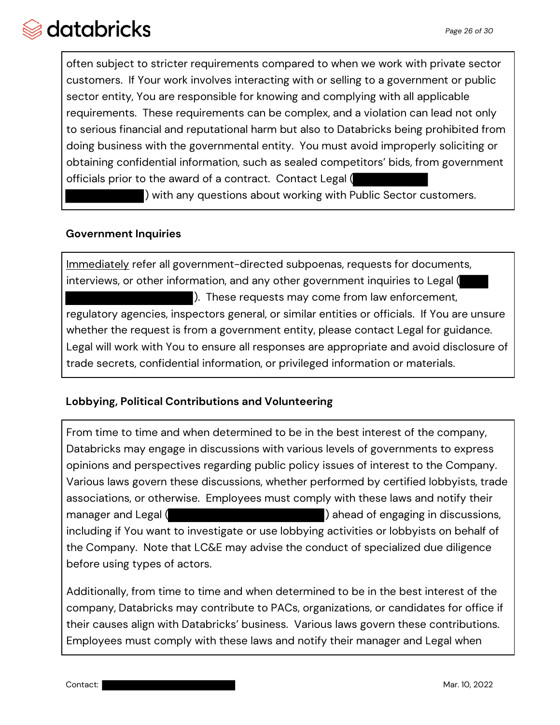often subject to stricter requirements compared to when we work with private sector customers. If Your work involves interacting with or selling to a government or public sector entity, You are responsible for knowing and complying with all applicable requirements. These requirements can be complex, and a violation can lead not only to serious financial and reputational harm but also to Databricks being prohibited from doing business with the governmental entity. You must avoid improperly soliciting or obtaining confidential information, such as sealed competitors' bids, from government officials prior to the award of a contract. Contact Legal (

) with any questions about working with Public Sector customers.

### **Government Inquiries**

Immediately refer all government-directed subpoenas, requests for documents, interviews, or other information, and any other government inquiries to Legal ( ). These requests may come from law enforcement, regulatory agencies, inspectors general, or similar entities or officials. If You are unsure whether the request is from a government entity, please contact Legal for guidance. Legal will work with You to ensure all responses are appropriate and avoid disclosure of trade secrets, confidential information, or privileged information or materials.

### **Lobbying, Political Contributions and Volunteering**

From time to time and when determined to be in the best interest of the company, Databricks may engage in discussions with various levels of governments to express opinions and perspectives regarding public policy issues of interest to the Company. Various laws govern these discussions, whether performed by certified lobbyists, trade associations, or otherwise. Employees must comply with these laws and notify their manager and Legal ( ) ahead of engaging in discussions, including if You want to investigate or use lobbying activities or lobbyists on behalf of the Company. Note that LC&E may advise the conduct of specialized due diligence before using types of actors.

Additionally, from time to time and when determined to be in the best interest of the company, Databricks may contribute to PACs, organizations, or candidates for office if their causes align with Databricks' business. Various laws govern these contributions. Employees must comply with these laws and notify their manager and Legal when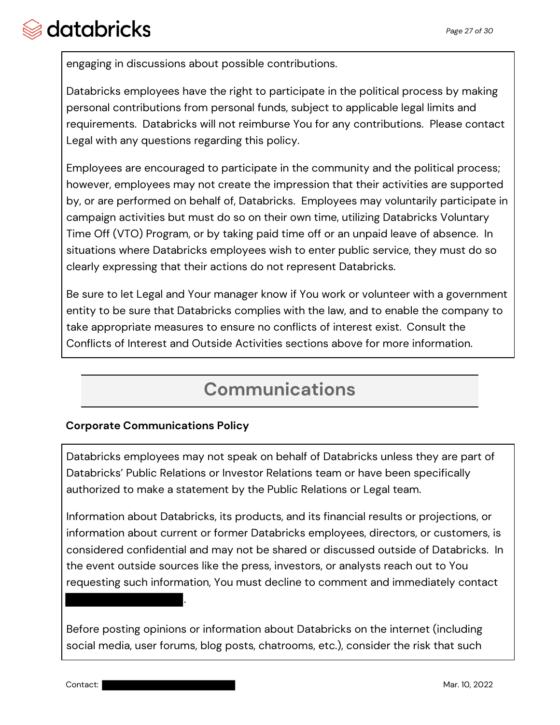engaging in discussions about possible contributions.

Databricks employees have the right to participate in the political process by making personal contributions from personal funds, subject to applicable legal limits and requirements. Databricks will not reimburse You for any contributions. Please contact Legal with any questions regarding this policy.

Employees are encouraged to participate in the community and the political process; however, employees may not create the impression that their activities are supported by, or are performed on behalf of, Databricks. Employees may voluntarily participate in campaign activities but must do so on their own time, utilizing Databricks Voluntary Time Off (VTO) Program, or by taking paid time off or an unpaid leave of absence. In situations where Databricks employees wish to enter public service, they must do so clearly expressing that their actions do not represent Databricks.

Be sure to let Legal and Your manager know if You work or volunteer with a government entity to be sure that Databricks complies with the law, and to enable the company to take appropriate measures to ensure no conflicts of interest exist.Consult the Conflicts of Interest and Outside Activities sections above for more information.

## **Communications**

## **Corporate Communications Policy**

.

Databricks employees may not speak on behalf of Databricks unless they are part of Databricks' Public Relations or Investor Relations team or have been specifically authorized to make a statement by the Public Relations or Legal team.

Information about Databricks, its products, and its financial results or projections, or information about current or former Databricks employees, directors, or customers, is considered confidential and may not be shared or discussed outside of Databricks. In the event outside sources like the press, investors, or analysts reach out to You requesting such information, You must decline to comment and immediately contact

Before posting opinions or information about Databricks on the internet (including social media, user forums, blog posts, chatrooms, etc.), consider the risk that such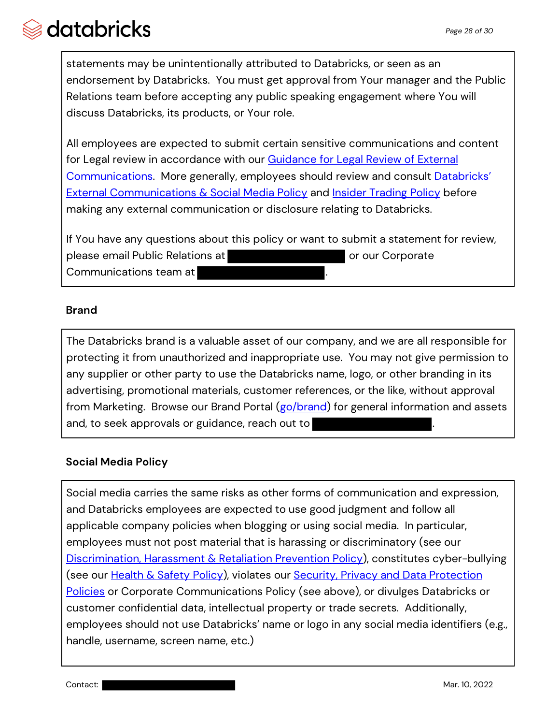statements may be unintentionally attributed to Databricks, or seen as an endorsement by Databricks. You must get approval from Your manager and the Public Relations team before accepting any public speaking engagement where You will discuss Databricks, its products, or Your role.

All employees are expected to submit certain sensitive communications and content for Legal review in accordance with our **Guidance for Legal Review of External** Communications. More generally, employees should review and consult Databricks' External Communications & Social Media Policy and Insider Trading Policy before making any external communication or disclosure relating to Databricks.

If You have any questions about this policy or want to submit a statement for review, please email Public Relations at **our contract of the set of our Corporate** Communications team at

### **Brand**

The Databricks brand is a valuable asset of our company, and we are all responsible for protecting it from unauthorized and inappropriate use. You may not give permission to any supplier or other party to use the Databricks name, logo, or other branding in its advertising, promotional materials, customer references, or the like, without approval from Marketing. Browse our Brand Portal (go/brand) for general information and assets and, to seek approvals or guidance, reach out to

## **Social Media Policy**

Social media carries the same risks as other forms of communication and expression, and Databricks employees are expected to use good judgment and follow all applicable company policies when blogging or using social media. In particular, employees must not post material that is harassing or discriminatory (see our Discrimination, Harassment & Retaliation Prevention Policy), constitutes cyber-bullying (see our Health & Safety Policy), violates our Security, Privacy and Data Protection Policies or Corporate Communications Policy (see above), or divulges Databricks or customer confidential data, intellectual property or trade secrets. Additionally, employees should not use Databricks' name or logo in any social media identifiers (e.g., handle, username, screen name, etc.)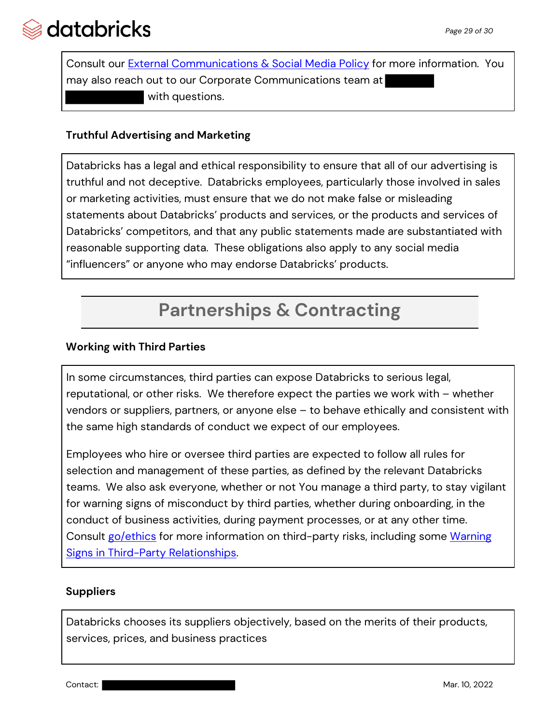

Consult our **External Communications & Social Media Policy** for more information. You may also reach out to our Corporate Communications team at with questions.

### **Truthful Advertising and Marketing**

Databricks has a legal and ethical responsibility to ensure that all of our advertising is truthful and not deceptive. Databricks employees, particularly those involved in sales or marketing activities, must ensure that we do not make false or misleading statements about Databricks' products and services, or the products and services of Databricks' competitors, and that any public statements made are substantiated with reasonable supporting data. These obligations also apply to any social media "influencers" or anyone who may endorse Databricks' products.

# **Partnerships & Contracting**

#### **Working with Third Parties**

In some circumstances, third parties can expose Databricks to serious legal, reputational, or other risks. We therefore expect the parties we work with – whether vendors or suppliers, partners, or anyone else – to behave ethically and consistent with the same high standards of conduct we expect of our employees.

Employees who hire or oversee third parties are expected to follow all rules for selection and management of these parties, as defined by the relevant Databricks teams. We also ask everyone, whether or not You manage a third party, to stay vigilant for warning signs of misconduct by third parties, whether during onboarding, in the conduct of business activities, during payment processes, or at any other time. Consult go/ethics for more information on third-party risks, including some Warning Signs in Third-Party Relationships.

#### **Suppliers**

Databricks chooses its suppliers objectively, based on the merits of their products, services, prices, and business practices